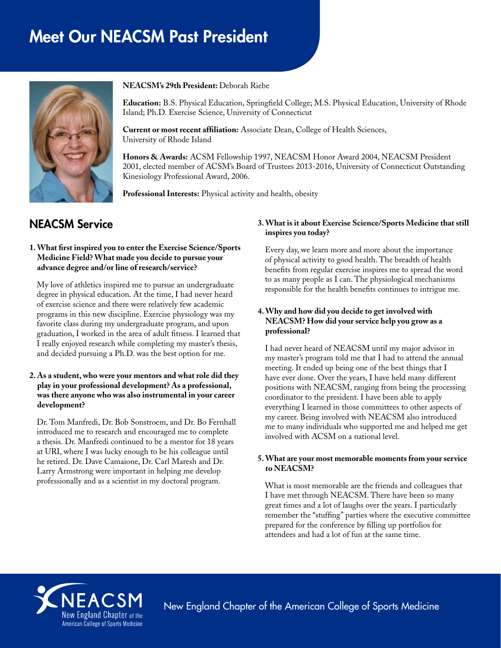# Meet Our NEACSM Past President



#### **NEACSM's 29th President:** Deborah Riebe

**Education:** B.S. Physical Education, Springfield College; M.S. Physical Education, University of Rhode Island; Ph.D. Exercise Science, University of Connecticut

**Current or most recent affiliation:** Associate Dean, College of Health Sciences, University of Rhode Island

**Honors & Awards:** ACSM Fellowship 1997, NEACSM Honor Award 2004, NEACSM President 2001, elected member of ACSM's Board of Trustees 2013-2016, University of Connecticut Outstanding Kinesiology Professional Award, 2006.

**Professional Interests:** Physical activity and health, obesity

# NEACSM Service

#### **1. What first inspired you to enter the Exercise Science/Sports Medicine Field? What made you decide to pursue your advance degree and/or line of research/service?**

My love of athletics inspired me to pursue an undergraduate degree in physical education. At the time, I had never heard of exercise science and there were relatively few academic programs in this new discipline. Exercise physiology was my favorite class during my undergraduate program, and upon graduation, I worked in the area of adult fitness. I learned that I really enjoyed research while completing my master's thesis, and decided pursuing a Ph.D. was the best option for me.

#### **2. As a student, who were your mentors and what role did they play in your professional development? As a professional, was there anyone who was also instrumental in your career development?**

Dr. Tom Manfredi, Dr. Bob Sonstroem, and Dr. Bo Fernhall introduced me to research and encouraged me to complete a thesis. Dr. Manfredi continued to be a mentor for 18 years at URI, where I was lucky enough to be his colleague until he retired. Dr. Dave Camaione, Dr. Carl Maresh and Dr. Larry Armstrong were important in helping me develop professionally and as a scientist in my doctoral program.

#### **3. What is it about Exercise Science/Sports Medicine that still inspires you today?**

Every day, we learn more and more about the importance of physical activity to good health. The breadth of health benefits from regular exercise inspires me to spread the word to as many people as I can. The physiological mechanisms responsible for the health benefits continues to intrigue me.

# **4. Why and how did you decide to get involved with NEACSM? How did your service help you grow as a professional?**

I had never heard of NEACSM until my major advisor in my master's program told me that I had to attend the annual meeting. It ended up being one of the best things that I have ever done. Over the years, I have held many different positions with NEACSM, ranging from being the processing coordinator to the president. I have been able to apply everything I learned in those committees to other aspects of my career. Being involved with NEACSM also introduced me to many individuals who supported me and helped me get involved with ACSM on a national level.

#### **5. What are your most memorable moments from your service to NEACSM?**

What is most memorable are the friends and colleagues that I have met through NEACSM. There have been so many great times and a lot of laughs over the years. I particularly remember the "stuffing" parties where the executive committee prepared for the conference by filling up portfolios for attendees and had a lot of fun at the same time.



New England Chapter of the American College of Sports Medicine